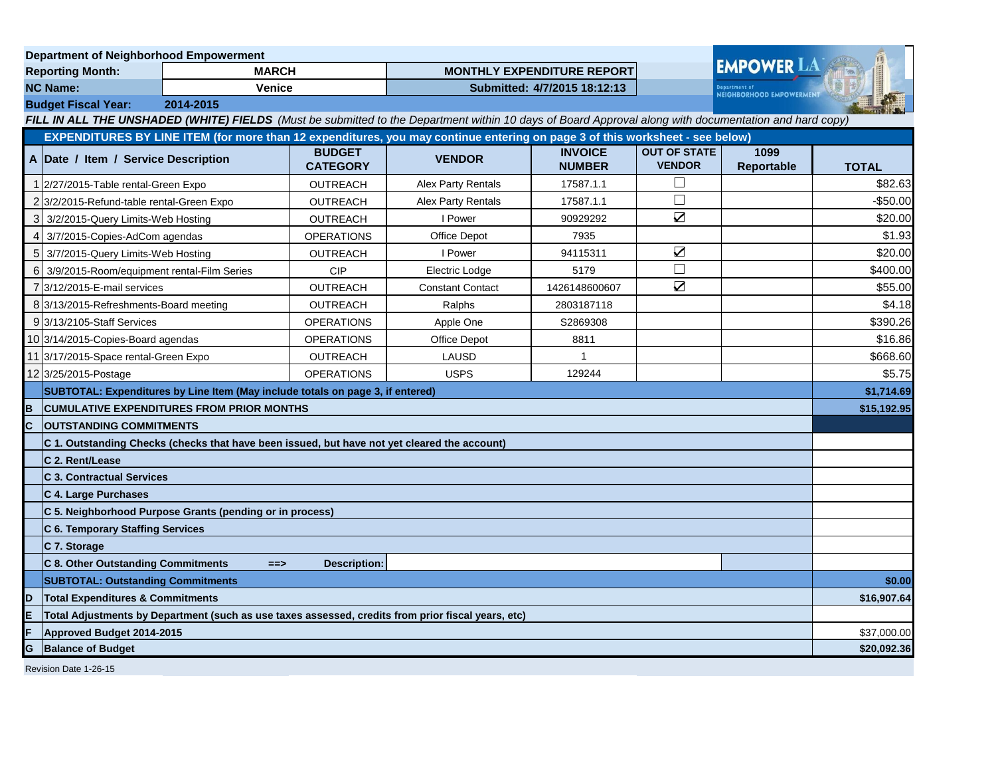| <b>Department of Neighborhood Empowerment</b>                                                                                                         |                                                                                                                              |  |                                   |                           |                                 |                                          |                    |              |
|-------------------------------------------------------------------------------------------------------------------------------------------------------|------------------------------------------------------------------------------------------------------------------------------|--|-----------------------------------|---------------------------|---------------------------------|------------------------------------------|--------------------|--------------|
| <b>Reporting Month:</b><br><b>MARCH</b>                                                                                                               |                                                                                                                              |  | <b>MONTHLY EXPENDITURE REPORT</b> |                           |                                 | <b>EMPOWER LA</b>                        |                    |              |
| <b>NC Name:</b><br><b>Venice</b>                                                                                                                      |                                                                                                                              |  | Submitted: 4/7/2015 18:12:13      |                           |                                 | enartment of<br>NEIGHBORHOOD EMPOWERMENT |                    |              |
|                                                                                                                                                       | 2014-2015<br><b>Budget Fiscal Year:</b>                                                                                      |  |                                   |                           |                                 |                                          |                    |              |
| FILL IN ALL THE UNSHADED (WHITE) FIELDS (Must be submitted to the Department within 10 days of Board Approval along with documentation and hard copy) |                                                                                                                              |  |                                   |                           |                                 |                                          |                    |              |
|                                                                                                                                                       | EXPENDITURES BY LINE ITEM (for more than 12 expenditures, you may continue entering on page 3 of this worksheet - see below) |  |                                   |                           |                                 |                                          |                    |              |
|                                                                                                                                                       | A Date / Item / Service Description                                                                                          |  | <b>BUDGET</b><br><b>CATEGORY</b>  | <b>VENDOR</b>             | <b>INVOICE</b><br><b>NUMBER</b> | <b>OUT OF STATE</b><br><b>VENDOR</b>     | 1099<br>Reportable | <b>TOTAL</b> |
|                                                                                                                                                       | 1 2/27/2015-Table rental-Green Expo                                                                                          |  | <b>OUTREACH</b>                   | <b>Alex Party Rentals</b> | 17587.1.1                       | $\Box$                                   |                    | \$82.63      |
|                                                                                                                                                       | 2 3/2/2015-Refund-table rental-Green Expo                                                                                    |  | <b>OUTREACH</b>                   | <b>Alex Party Rentals</b> | 17587.1.1                       | $\Box$                                   |                    | $-$ \$50.00  |
| 3                                                                                                                                                     | 3/2/2015-Query Limits-Web Hosting                                                                                            |  | <b>OUTREACH</b>                   | I Power                   | 90929292                        | $\boldsymbol{\nabla}$                    |                    | \$20.00      |
| $\overline{4}$                                                                                                                                        | 3/7/2015-Copies-AdCom agendas                                                                                                |  | <b>OPERATIONS</b>                 | Office Depot              | 7935                            |                                          |                    | \$1.93       |
| $\sqrt{5}$                                                                                                                                            | 3/7/2015-Query Limits-Web Hosting                                                                                            |  | OUTREACH                          | I Power                   | 94115311                        | $\blacktriangledown$                     |                    | \$20.00      |
| 6                                                                                                                                                     | 3/9/2015-Room/equipment rental-Film Series                                                                                   |  | <b>CIP</b>                        | Electric Lodge            | 5179                            | $\Box$                                   |                    | \$400.00     |
|                                                                                                                                                       | 7 3/12/2015-E-mail services                                                                                                  |  | <b>OUTREACH</b>                   | <b>Constant Contact</b>   | 1426148600607                   | $\sum_{i=1}^{n}$                         |                    | \$55.00      |
|                                                                                                                                                       | 8 3/13/2015-Refreshments-Board meeting                                                                                       |  | OUTREACH                          | Ralphs                    | 2803187118                      |                                          |                    | \$4.18       |
|                                                                                                                                                       | 9 3/13/2105-Staff Services                                                                                                   |  | <b>OPERATIONS</b>                 | Apple One                 | S2869308                        |                                          |                    | \$390.26     |
|                                                                                                                                                       | 10 3/14/2015-Copies-Board agendas                                                                                            |  | <b>OPERATIONS</b>                 | <b>Office Depot</b>       | 8811                            |                                          |                    | \$16.86      |
|                                                                                                                                                       | 11 3/17/2015-Space rental-Green Expo                                                                                         |  | <b>OUTREACH</b>                   | <b>LAUSD</b>              | 1                               |                                          |                    | \$668.60     |
|                                                                                                                                                       | 12 3/25/2015-Postage                                                                                                         |  | <b>OPERATIONS</b>                 | <b>USPS</b>               | 129244                          |                                          |                    | \$5.75       |
|                                                                                                                                                       | SUBTOTAL: Expenditures by Line Item (May include totals on page 3, if entered)                                               |  |                                   |                           |                                 |                                          |                    | \$1,714.69   |
| в                                                                                                                                                     | <b>CUMULATIVE EXPENDITURES FROM PRIOR MONTHS</b>                                                                             |  |                                   |                           |                                 |                                          | \$15,192.95        |              |
| C                                                                                                                                                     | <b>OUTSTANDING COMMITMENTS</b>                                                                                               |  |                                   |                           |                                 |                                          |                    |              |
|                                                                                                                                                       | C 1. Outstanding Checks (checks that have been issued, but have not yet cleared the account)                                 |  |                                   |                           |                                 |                                          |                    |              |
|                                                                                                                                                       | C 2. Rent/Lease                                                                                                              |  |                                   |                           |                                 |                                          |                    |              |
|                                                                                                                                                       | <b>C 3. Contractual Services</b>                                                                                             |  |                                   |                           |                                 |                                          |                    |              |
|                                                                                                                                                       | C 4. Large Purchases                                                                                                         |  |                                   |                           |                                 |                                          |                    |              |
|                                                                                                                                                       | C 5. Neighborhood Purpose Grants (pending or in process)                                                                     |  |                                   |                           |                                 |                                          |                    |              |
|                                                                                                                                                       | C 6. Temporary Staffing Services                                                                                             |  |                                   |                           |                                 |                                          |                    |              |
|                                                                                                                                                       | C 7. Storage                                                                                                                 |  |                                   |                           |                                 |                                          |                    |              |
|                                                                                                                                                       | <b>C 8. Other Outstanding Commitments</b><br><b>Description:</b><br>$==$                                                     |  |                                   |                           |                                 |                                          |                    |              |
|                                                                                                                                                       | <b>SUBTOTAL: Outstanding Commitments</b>                                                                                     |  |                                   |                           |                                 |                                          | \$0.00             |              |
| D                                                                                                                                                     | <b>Total Expenditures &amp; Commitments</b>                                                                                  |  |                                   |                           |                                 |                                          | \$16,907.64        |              |
| E                                                                                                                                                     | Total Adjustments by Department (such as use taxes assessed, credits from prior fiscal years, etc)                           |  |                                   |                           |                                 |                                          |                    |              |
| F                                                                                                                                                     | Approved Budget 2014-2015                                                                                                    |  |                                   |                           |                                 |                                          | \$37,000.00        |              |
| G                                                                                                                                                     | <b>Balance of Budget</b>                                                                                                     |  |                                   |                           |                                 |                                          |                    | \$20,092.36  |
| Revision Date 1-26-15                                                                                                                                 |                                                                                                                              |  |                                   |                           |                                 |                                          |                    |              |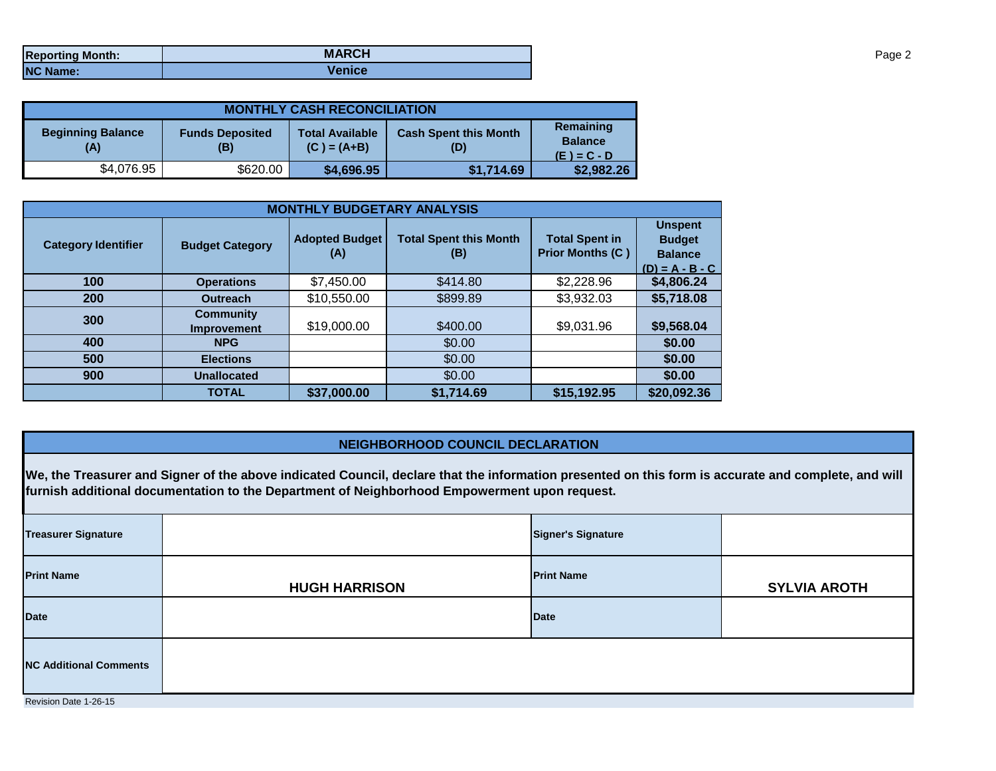| <b>Reporting Month:</b> | <b>MARCH</b>  |
|-------------------------|---------------|
| <b>NC Name:</b>         | <b>Venice</b> |

| <b>MONTHLY CASH RECONCILIATION</b> |                               |                                         |                                     |                                              |  |  |  |
|------------------------------------|-------------------------------|-----------------------------------------|-------------------------------------|----------------------------------------------|--|--|--|
| <b>Beginning Balance</b><br>(A)    | <b>Funds Deposited</b><br>(B) | <b>Total Available</b><br>$(C) = (A+B)$ | <b>Cash Spent this Month</b><br>(D) | Remaining<br><b>Balance</b><br>$(E) = C - D$ |  |  |  |
| \$4,076.95                         | \$620.00                      | \$4,696.95                              | \$1,714.69                          | \$2,982.26                                   |  |  |  |

| <b>MONTHLY BUDGETARY ANALYSIS</b> |                                        |                              |                                      |                                                  |                                                                        |  |  |
|-----------------------------------|----------------------------------------|------------------------------|--------------------------------------|--------------------------------------------------|------------------------------------------------------------------------|--|--|
| <b>Category Identifier</b>        | <b>Budget Category</b>                 | <b>Adopted Budget</b><br>(A) | <b>Total Spent this Month</b><br>(B) | <b>Total Spent in</b><br><b>Prior Months (C)</b> | <b>Unspent</b><br><b>Budget</b><br><b>Balance</b><br>$(D) = A - B - C$ |  |  |
| 100                               | <b>Operations</b>                      | \$7,450.00                   | \$414.80                             | \$2,228.96                                       | \$4,806.24                                                             |  |  |
| <b>200</b>                        | <b>Outreach</b>                        | \$10,550.00                  | \$899.89                             | \$3,932.03                                       | \$5,718.08                                                             |  |  |
| 300                               | <b>Community</b><br><b>Improvement</b> | \$19,000.00                  | \$400.00                             | \$9,031.96                                       | \$9,568.04                                                             |  |  |
| 400                               | <b>NPG</b>                             |                              | \$0.00                               |                                                  | \$0.00                                                                 |  |  |
| 500                               | <b>Elections</b>                       |                              | \$0.00                               |                                                  | \$0.00                                                                 |  |  |
| 900                               | <b>Unallocated</b>                     |                              | \$0.00                               |                                                  | \$0.00                                                                 |  |  |
|                                   | <b>TOTAL</b>                           | \$37,000.00                  | \$1,714.69                           | \$15,192.95                                      | \$20,092.36                                                            |  |  |

## **NEIGHBORHOOD COUNCIL DECLARATION**

**We, the Treasurer and Signer of the above indicated Council, declare that the information presented on this form is accurate and complete, and will furnish additional documentation to the Department of Neighborhood Empowerment upon request.**

| <b>Treasurer Signature</b>    |                      | <b>Signer's Signature</b> |                     |  |  |  |
|-------------------------------|----------------------|---------------------------|---------------------|--|--|--|
| <b>Print Name</b>             | <b>HUGH HARRISON</b> | <b>Print Name</b>         | <b>SYLVIA AROTH</b> |  |  |  |
| <b>Date</b>                   |                      | <b>Date</b>               |                     |  |  |  |
| <b>NC Additional Comments</b> |                      |                           |                     |  |  |  |
| Revision Date 1-26-15         |                      |                           |                     |  |  |  |